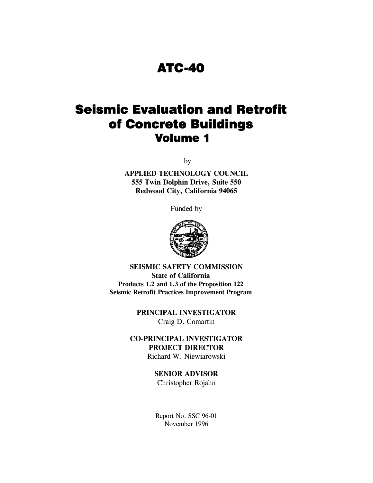## ATC-40

# Seismic Evaluation and Retrofit of Concrete Buildings Volume 1

by

**APPLIED TECHNOLOGY COUNCIL 555 Twin Dolphin Drive, Suite 550 Redwood City, California 94065** 

Funded by



**SEISMIC SAFETY COMMISSION State of California Products 1.2 and 1.3 of the Proposition 122 Seismic Retrofit Practices Improvement Program** 

> **PRINCIPAL INVESTIGATOR**  Craig D. Comartin

**CO-PRINCIPAL INVESTIGATOR PROJECT DIRECTOR**  Richard W. Niewiarowski

### **SENIOR ADVISOR**

Christopher Rojahn

Report No. SSC 96-01 November 1996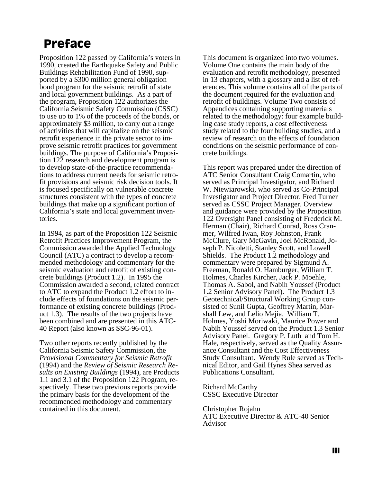# **Preface**

Proposition 122 passed by California's voters in 1990, created the Earthquake Safety and Public Buildings Rehabilitation Fund of 1990, supported by a \$300 million general obligation bond program for the seismic retrofit of state and local government buildings. As a part of the program, Proposition 122 authorizes the California Seismic Safety Commission (CSSC) to use up to 1% of the proceeds of the bonds, or approximately \$3 million, to carry out a range of activities that will capitalize on the seismic retrofit experience in the private sector to improve seismic retrofit practices for government buildings. The purpose of California's Proposition 122 research and development program is to develop state-of-the-practice recommendations to address current needs for seismic retrofit provisions and seismic risk decision tools. It is focused specifically on vulnerable concrete structures consistent with the types of concrete buildings that make up a significant portion of California's state and local government inventories.

In 1994, as part of the Proposition 122 Seismic Retrofit Practices Improvement Program, the Commission awarded the Applied Technology Council (ATC) a contract to develop a recommended methodology and commentary for the seismic evaluation and retrofit of existing concrete buildings (Product 1.2). In 1995 the Commission awarded a second, related contract to ATC to expand the Product 1.2 effort to include effects of foundations on the seismic performance of existing concrete buildings (Product 1.3). The results of the two projects have been combined and are presented in this ATC-40 Report (also known as SSC-96-01).

Two other reports recently published by the California Seismic Safety Commission, the *Provisional Commentary for Seismic Retrofit*  (1994) and the *Review of Seismic Research Results on Existing Buildings* (1994), are Products 1.1 and 3.1 of the Proposition 122 Program, respectively. These two previous reports provide the primary basis for the development of the recommended methodology and commentary contained in this document.

This document is organized into two volumes. Volume One contains the main body of the evaluation and retrofit methodology, presented in 13 chapters, with a glossary and a list of references. This volume contains all of the parts of the document required for the evaluation and retrofit of buildings. Volume Two consists of Appendices containing supporting materials related to the methodology: four example building case study reports, a cost effectiveness study related to the four building studies, and a review of research on the effects of foundation conditions on the seismic performance of concrete buildings.

This report was prepared under the direction of ATC Senior Consultant Craig Comartin, who served as Principal Investigator, and Richard W. Niewiarowski, who served as Co-Principal Investigator and Project Director. Fred Turner served as CSSC Project Manager. Overview and guidance were provided by the Proposition 122 Oversight Panel consisting of Frederick M. Herman (Chair), Richard Conrad, Ross Cranmer, Wilfred Iwan, Roy Johnston, Frank McClure, Gary McGavin, Joel McRonald, Joseph P. Nicoletti, Stanley Scott, and Lowell Shields. The Product 1.2 methodology and commentary were prepared by Sigmund A. Freeman, Ronald O. Hamburger, William T. Holmes, Charles Kircher, Jack P. Moehle, Thomas A. Sabol, and Nabih Youssef (Product 1.2 Senior Advisory Panel). The Product 1.3 Geotechnical/Structural Working Group consisted of Sunil Gupta, Geoffrey Martin, Marshall Lew, and Lelio Mejia. William T. Holmes, Yoshi Moriwaki, Maurice Power and Nabih Youssef served on the Product 1.3 Senior Advisory Panel. Gregory P. Luth and Tom H. Hale, respectively, served as the Quality Assurance Consultant and the Cost Effectiveness Study Consultant. Wendy Rule served as Technical Editor, and Gail Hynes Shea served as Publications Consultant.

Richard McCarthy CSSC Executive Director

Christopher Rojahn ATC Executive Director & ATC-40 Senior Advisor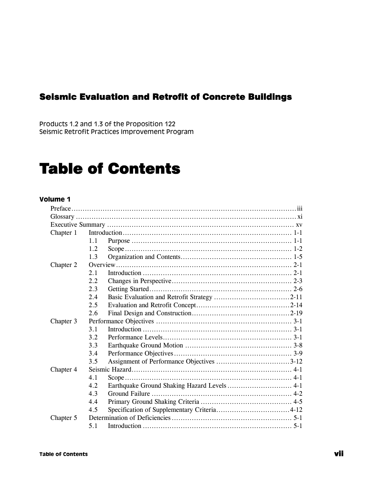### Seismic Evaluation and Retrofit of Concrete Buildings

Products 1.2 and 1.3 of the Proposition 122 Seismic Retrofit Practices Improvement Program

# Table of Contents

### **Volume 1**

| Chapter 1 |      |  |  |  |  |
|-----------|------|--|--|--|--|
|           | 1.1  |  |  |  |  |
|           | 1.2. |  |  |  |  |
|           | 1.3  |  |  |  |  |
| Chapter 2 |      |  |  |  |  |
|           | 2.1  |  |  |  |  |
|           | 2.2  |  |  |  |  |
|           | 2.3  |  |  |  |  |
|           | 2.4  |  |  |  |  |
|           | 2.5  |  |  |  |  |
|           | 2.6  |  |  |  |  |
| Chapter 3 |      |  |  |  |  |
|           | 3.1  |  |  |  |  |
|           | 3.2  |  |  |  |  |
|           | 3.3  |  |  |  |  |
|           | 3.4  |  |  |  |  |
|           | 3.5  |  |  |  |  |
| Chapter 4 |      |  |  |  |  |
|           | 4.1  |  |  |  |  |
|           | 4.2  |  |  |  |  |
|           | 4.3  |  |  |  |  |
|           | 4.4  |  |  |  |  |
|           | 4.5  |  |  |  |  |
| Chapter 5 |      |  |  |  |  |
|           | 5.1  |  |  |  |  |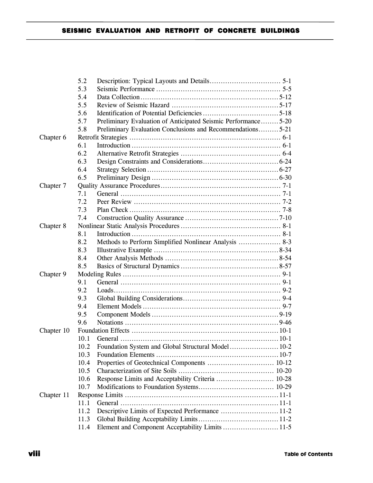|            | 5.2  |                                                               |  |
|------------|------|---------------------------------------------------------------|--|
|            | 5.3  |                                                               |  |
|            | 5.4  |                                                               |  |
|            | 5.5  |                                                               |  |
|            | 5.6  |                                                               |  |
|            | 5.7  | Preliminary Evaluation of Anticipated Seismic Performance5-20 |  |
|            | 5.8  | Preliminary Evaluation Conclusions and Recommendations5-21    |  |
| Chapter 6  |      |                                                               |  |
|            | 6.1  |                                                               |  |
|            | 6.2  |                                                               |  |
|            | 6.3  |                                                               |  |
|            | 6.4  |                                                               |  |
|            | 6.5  |                                                               |  |
| Chapter 7  |      |                                                               |  |
|            | 7.1  |                                                               |  |
|            | 7.2  |                                                               |  |
|            | 7.3  |                                                               |  |
|            | 7.4  |                                                               |  |
| Chapter 8  |      |                                                               |  |
|            | 8.1  |                                                               |  |
|            | 8.2  |                                                               |  |
|            | 8.3  |                                                               |  |
|            | 8.4  |                                                               |  |
|            | 8.5  |                                                               |  |
| Chapter 9  |      |                                                               |  |
|            | 9.1  |                                                               |  |
|            | 9.2  |                                                               |  |
|            | 9.3  |                                                               |  |
|            | 9.4  |                                                               |  |
|            | 9.5  |                                                               |  |
|            | 9.6  |                                                               |  |
| Chapter 10 |      |                                                               |  |
|            | 10.1 |                                                               |  |
|            | 10.2 |                                                               |  |
|            | 10.3 |                                                               |  |
|            | 10.4 |                                                               |  |
|            | 10.5 |                                                               |  |
|            | 10.6 |                                                               |  |
|            | 10.7 |                                                               |  |
| Chapter 11 |      |                                                               |  |
|            | 11.1 |                                                               |  |
|            | 11.2 |                                                               |  |
|            | 11.3 |                                                               |  |
|            | 11.4 |                                                               |  |
|            |      |                                                               |  |